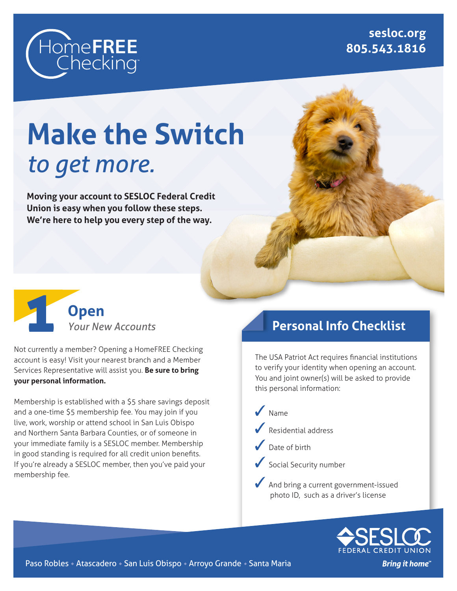

**sesloc.org 805.543.1816**

# **Make the Switch** *to get more.*

**Moving your account to SESLOC Federal Credit Union is easy when you follow these steps. We're here to help you every step of the way.**



Not currently a member? Opening a HomeFREE Checking account is easy! Visit your nearest branch and a Member Services Representative will assist you. **Be sure to bring your personal information.**

Membership is established with a \$5 share savings deposit and a one-time \$5 membership fee. You may join if you live, work, worship or attend school in San Luis Obispo and Northern Santa Barbara Counties, or of someone in your immediate family is a SESLOC member. Membership in good standing is required for all credit union benefits. If you're already a SESLOC member, then you've paid your membership fee.

# **Personal Info Checklist**

The USA Patriot Act requires financial institutions to verify your identity when opening an account. You and joint owner(s) will be asked to provide this personal information:





Paso Robles • Atascadero • San Luis Obispo • Arroyo Grande • Santa Maria

**Bring it home"**